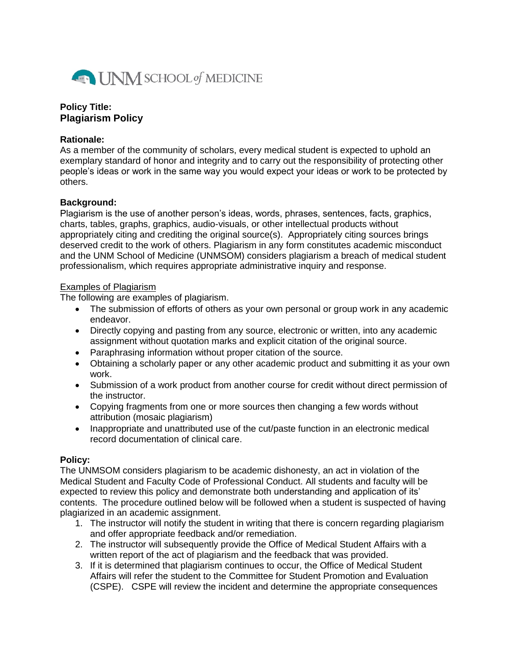

# **Policy Title: Plagiarism Policy**

#### **Rationale:**

As a member of the community of scholars, every medical student is expected to uphold an exemplary standard of honor and integrity and to carry out the responsibility of protecting other people's ideas or work in the same way you would expect your ideas or work to be protected by others.

### **Background:**

Plagiarism is the use of another person's ideas, words, phrases, sentences, facts, graphics, charts, tables, graphs, graphics, audio-visuals, or other intellectual products without appropriately citing and crediting the original source(s). Appropriately citing sources brings deserved credit to the work of others. Plagiarism in any form constitutes academic misconduct and the UNM School of Medicine (UNMSOM) considers plagiarism a breach of medical student professionalism, which requires appropriate administrative inquiry and response.

### Examples of Plagiarism

The following are examples of plagiarism.

- The submission of efforts of others as your own personal or group work in any academic endeavor.
- Directly copying and pasting from any source, electronic or written, into any academic assignment without quotation marks and explicit citation of the original source.
- Paraphrasing information without proper citation of the source.
- Obtaining a scholarly paper or any other academic product and submitting it as your own work.
- Submission of a work product from another course for credit without direct permission of the instructor.
- Copying fragments from one or more sources then changing a few words without attribution (mosaic plagiarism)
- Inappropriate and unattributed use of the cut/paste function in an electronic medical record documentation of clinical care.

## **Policy:**

The UNMSOM considers plagiarism to be academic dishonesty, an act in violation of the Medical Student and Faculty Code of Professional Conduct. All students and faculty will be expected to review this policy and demonstrate both understanding and application of its' contents. The procedure outlined below will be followed when a student is suspected of having plagiarized in an academic assignment.

- 1. The instructor will notify the student in writing that there is concern regarding plagiarism and offer appropriate feedback and/or remediation.
- 2. The instructor will subsequently provide the Office of Medical Student Affairs with a written report of the act of plagiarism and the feedback that was provided.
- 3. If it is determined that plagiarism continues to occur, the Office of Medical Student Affairs will refer the student to the Committee for Student Promotion and Evaluation (CSPE). CSPE will review the incident and determine the appropriate consequences